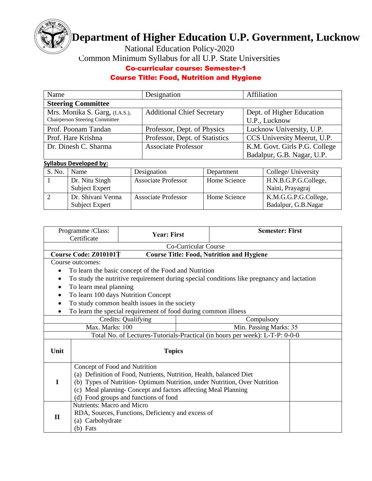

## **Department of Higher Education U.P. Government, Lucknow**

National Education Policy-2020

Common Minimum Syllabus for all U.P. State Universities

## Co-curricular course: Semester-1

## Course Title: Food, Nutrition and Hygiene

| Name                                  | Designation                       | Affiliation                   |  |  |  |  |
|---------------------------------------|-----------------------------------|-------------------------------|--|--|--|--|
| <b>Steering Committee</b>             |                                   |                               |  |  |  |  |
| Mrs. Monika S. Garg, (I.A.S.),        | <b>Additional Chief Secretary</b> | Dept. of Higher Education     |  |  |  |  |
| <b>Chairperson Steering Committee</b> |                                   | U.P., Lucknow                 |  |  |  |  |
| Prof. Poonam Tandan                   | Professor, Dept. of Physics       | Lucknow University, U.P.      |  |  |  |  |
| Prof. Hare Krishna                    | Professor, Dept. of Statistics    | CCS University Meerut, U.P.   |  |  |  |  |
| Dr. Dinesh C. Sharma                  | <b>Associate Professor</b>        | K.M. Govt. Girls P.G. College |  |  |  |  |
|                                       |                                   | Badalpur, G.B. Nagar, U.P.    |  |  |  |  |

## **Syllabus Developed by:**

| S. No. | Name                  | Designation                | Department   | College/ University  |
|--------|-----------------------|----------------------------|--------------|----------------------|
|        | Dr. Nitu Singh        | <b>Associate Professor</b> | Home Science | H.N.B.G.P.G.College, |
|        | <b>Subject Expert</b> |                            |              | Naini, Prayagraj     |
|        | Dr. Shivani Verma     | <b>Associate Professor</b> | Home Science | K.M.G.G.P.G.College, |
|        | Subject Expert        |                            |              | Badalpur, G.B.Nagar  |

|              | Programme /Class:<br>Certificate                                                                                                                                                                                                                                                             | <b>Year: First</b>                                             |  | <b>Semester: First</b>                                                                    |  |  |  |  |
|--------------|----------------------------------------------------------------------------------------------------------------------------------------------------------------------------------------------------------------------------------------------------------------------------------------------|----------------------------------------------------------------|--|-------------------------------------------------------------------------------------------|--|--|--|--|
|              | Co-Curricular Course                                                                                                                                                                                                                                                                         |                                                                |  |                                                                                           |  |  |  |  |
|              | Course Code: Z010101T<br><b>Course Title: Food, Nutrition and Hygiene</b>                                                                                                                                                                                                                    |                                                                |  |                                                                                           |  |  |  |  |
|              | Course outcomes:                                                                                                                                                                                                                                                                             |                                                                |  |                                                                                           |  |  |  |  |
|              |                                                                                                                                                                                                                                                                                              | To learn the basic concept of the Food and Nutrition           |  |                                                                                           |  |  |  |  |
|              |                                                                                                                                                                                                                                                                                              |                                                                |  | To study the nutritive requirement during special conditions like pregnancy and lactation |  |  |  |  |
|              | To learn meal planning                                                                                                                                                                                                                                                                       |                                                                |  |                                                                                           |  |  |  |  |
|              |                                                                                                                                                                                                                                                                                              | To learn 100 days Nutrition Concept                            |  |                                                                                           |  |  |  |  |
| $\bullet$    |                                                                                                                                                                                                                                                                                              | To study common health issues in the society                   |  |                                                                                           |  |  |  |  |
|              |                                                                                                                                                                                                                                                                                              | To learn the special requirement of food during common illness |  |                                                                                           |  |  |  |  |
|              | Credits: Qualifying<br>Compulsory                                                                                                                                                                                                                                                            |                                                                |  |                                                                                           |  |  |  |  |
|              | Max. Marks: 100                                                                                                                                                                                                                                                                              |                                                                |  | Min. Passing Marks: 35                                                                    |  |  |  |  |
|              |                                                                                                                                                                                                                                                                                              |                                                                |  | Total No. of Lectures-Tutorials-Practical (in hours per week): L-T-P: 0-0-0               |  |  |  |  |
| Unit         |                                                                                                                                                                                                                                                                                              | <b>Topics</b>                                                  |  |                                                                                           |  |  |  |  |
| T            | Concept of Food and Nutrition<br>(a) Definition of Food, Nutrients, Nutrition, Health, balanced Diet<br>(b) Types of Nutrition-Optimum Nutrition, under Nutrition, Over Nutrition<br>(c) Meal planning- Concept and factors affecting Meal Planning<br>(d) Food groups and functions of food |                                                                |  |                                                                                           |  |  |  |  |
| $\mathbf{H}$ | <b>Nutrients: Macro and Micro</b><br>RDA, Sources, Functions, Deficiency and excess of<br>(a) Carbohydrate<br>$(b)$ Fats                                                                                                                                                                     |                                                                |  |                                                                                           |  |  |  |  |